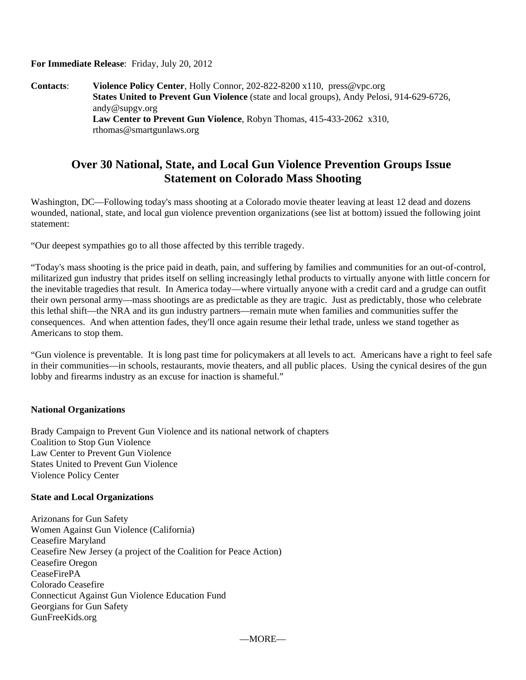**For Immediate Release**: Friday, July 20, 2012

**Contacts**: **Violence Policy Center**, Holly Connor, 202-822-8200 x110, press@vpc.org **States United to Prevent Gun Violence** (state and local groups), Andy Pelosi, 914-629-6726, andy@supgv.org **Law Center to Prevent Gun Violence**, Robyn Thomas, 415-433-2062 x310, rthomas@smartgunlaws.org

## **Over 30 National, State, and Local Gun Violence Prevention Groups Issue Statement on Colorado Mass Shooting**

Washington, DC—Following today's mass shooting at a Colorado movie theater leaving at least 12 dead and dozens wounded, national, state, and local gun violence prevention organizations (see list at bottom) issued the following joint statement:

"Our deepest sympathies go to all those affected by this terrible tragedy.

"Today's mass shooting is the price paid in death, pain, and suffering by families and communities for an out-of-control, militarized gun industry that prides itself on selling increasingly lethal products to virtually anyone with little concern for the inevitable tragedies that result. In America today—where virtually anyone with a credit card and a grudge can outfit their own personal army—mass shootings are as predictable as they are tragic. Just as predictably, those who celebrate this lethal shift—the NRA and its gun industry partners—remain mute when families and communities suffer the consequences. And when attention fades, they'll once again resume their lethal trade, unless we stand together as Americans to stop them.

"Gun violence is preventable. It is long past time for policymakers at all levels to act. Americans have a right to feel safe in their communities—in schools, restaurants, movie theaters, and all public places. Using the cynical desires of the gun lobby and firearms industry as an excuse for inaction is shameful."

## **National Organizations**

Brady Campaign to Prevent Gun Violence and its national network of chapters Coalition to Stop Gun Violence Law Center to Prevent Gun Violence States United to Prevent Gun Violence Violence Policy Center

## **State and Local Organizations**

Arizonans for Gun Safety Women Against Gun Violence (California) Ceasefire Maryland Ceasefire New Jersey (a project of the Coalition for Peace Action) Ceasefire Oregon CeaseFirePA Colorado Ceasefire Connecticut Against Gun Violence Education Fund Georgians for Gun Safety GunFreeKids.org